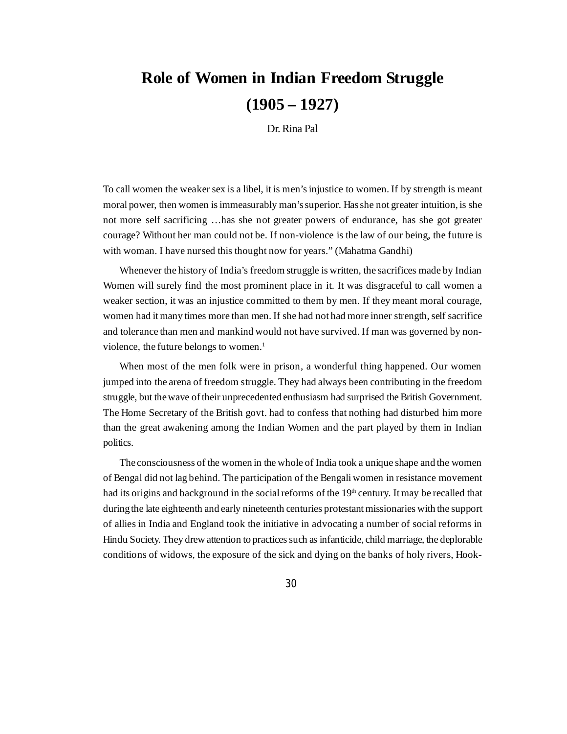## **Role of Women in Indian Freedom Struggle (1905 – 1927)**

Dr. Rina Pal

To call women the weaker sex is a libel, it is men's injustice to women. If by strength is meant moral power, then women is immeasurably man's superior. Has she not greater intuition, is she not more self sacrificing …has she not greater powers of endurance, has she got greater courage? Without her man could not be. If non-violence is the law of our being, the future is with woman. I have nursed this thought now for years." (Mahatma Gandhi)

Whenever the history of India's freedom struggle is written, the sacrifices made by Indian Women will surely find the most prominent place in it. It was disgraceful to call women a weaker section, it was an injustice committed to them by men. If they meant moral courage, women had it many times more than men. If she had not had more inner strength, self sacrifice and tolerance than men and mankind would not have survived. If man was governed by nonviolence, the future belongs to women.<sup>1</sup>

When most of the men folk were in prison, a wonderful thing happened. Our women jumped into the arena of freedom struggle. They had always been contributing in the freedom struggle, but the wave of their unprecedented enthusiasm had surprised the British Government. The Home Secretary of the British govt. had to confess that nothing had disturbed him more than the great awakening among the Indian Women and the part played by them in Indian politics.

The consciousness of the women in the whole of India took a unique shape and the women of Bengal did not lag behind. The participation of the Bengali women in resistance movement had its origins and background in the social reforms of the 19<sup>th</sup> century. It may be recalled that during the late eighteenth and early nineteenth centuries protestant missionaries with the support of allies in India and England took the initiative in advocating a number of social reforms in Hindu Society. They drew attention to practices such as infanticide, child marriage, the deplorable conditions of widows, the exposure of the sick and dying on the banks of holy rivers, Hook-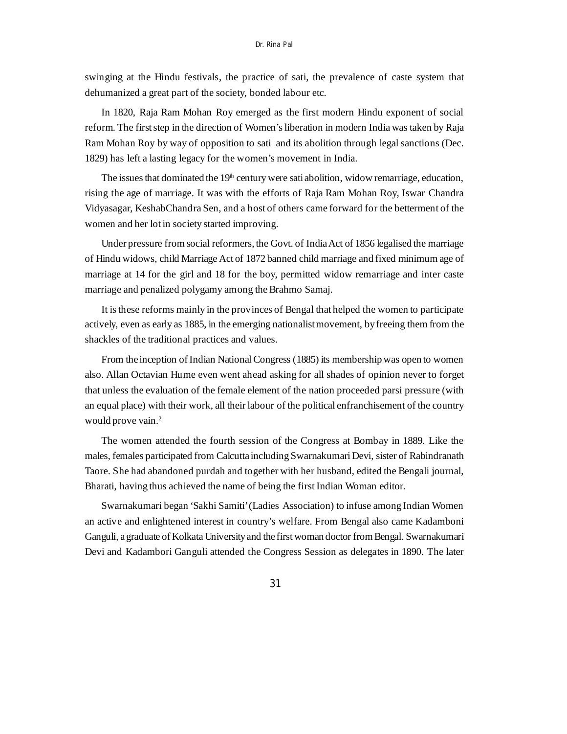swinging at the Hindu festivals, the practice of sati, the prevalence of caste system that dehumanized a great part of the society, bonded labour etc.

In 1820, Raja Ram Mohan Roy emerged as the first modern Hindu exponent of social reform. The first step in the direction of Women's liberation in modern India was taken by Raja Ram Mohan Roy by way of opposition to sati and its abolition through legal sanctions (Dec. 1829) has left a lasting legacy for the women's movement in India.

The issues that dominated the 19<sup>th</sup> century were sati abolition, widow remarriage, education, rising the age of marriage. It was with the efforts of Raja Ram Mohan Roy, Iswar Chandra Vidyasagar, KeshabChandra Sen, and a host of others came forward for the betterment of the women and her lot in society started improving.

Under pressure from social reformers, the Govt. of India Act of 1856 legalised the marriage of Hindu widows, child Marriage Act of 1872 banned child marriage and fixed minimum age of marriage at 14 for the girl and 18 for the boy, permitted widow remarriage and inter caste marriage and penalized polygamy among the Brahmo Samaj.

It is these reforms mainly in the provinces of Bengal that helped the women to participate actively, even as early as 1885, in the emerging nationalist movement, by freeing them from the shackles of the traditional practices and values.

From the inception of Indian National Congress (1885) its membership was open to women also. Allan Octavian Hume even went ahead asking for all shades of opinion never to forget that unless the evaluation of the female element of the nation proceeded parsi pressure (with an equal place) with their work, all their labour of the political enfranchisement of the country would prove vain.<sup>2</sup>

The women attended the fourth session of the Congress at Bombay in 1889. Like the males, females participated from Calcutta including Swarnakumari Devi, sister of Rabindranath Taore. She had abandoned purdah and together with her husband, edited the Bengali journal, Bharati, having thus achieved the name of being the first Indian Woman editor.

Swarnakumari began 'Sakhi Samiti' (Ladies Association) to infuse among Indian Women an active and enlightened interest in country's welfare. From Bengal also came Kadamboni Ganguli, a graduate of Kolkata University and the first woman doctor from Bengal. Swarnakumari Devi and Kadambori Ganguli attended the Congress Session as delegates in 1890. The later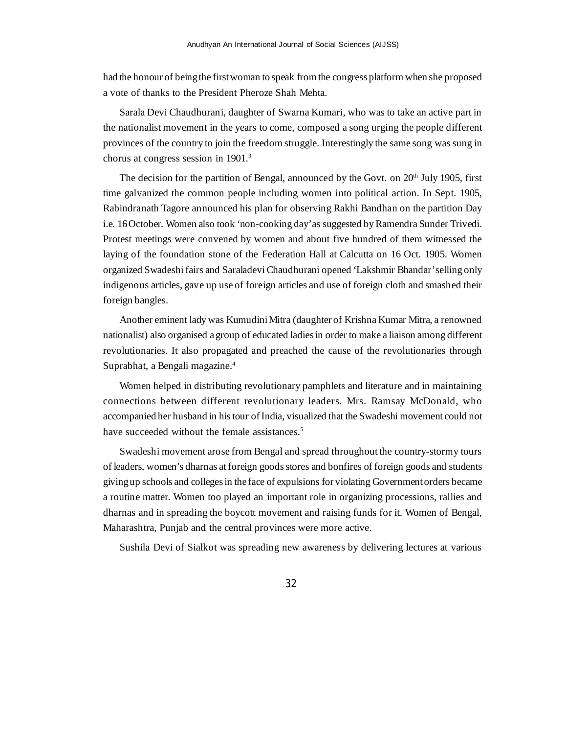had the honour of being the first woman to speak from the congress platform when she proposed a vote of thanks to the President Pheroze Shah Mehta.

Sarala Devi Chaudhurani, daughter of Swarna Kumari, who was to take an active part in the nationalist movement in the years to come, composed a song urging the people different provinces of the country to join the freedom struggle. Interestingly the same song was sung in chorus at congress session in 1901.<sup>3</sup>

The decision for the partition of Bengal, announced by the Govt. on  $20<sup>th</sup>$  July 1905, first time galvanized the common people including women into political action. In Sept. 1905, Rabindranath Tagore announced his plan for observing Rakhi Bandhan on the partition Day i.e. 16 October. Women also took 'non-cooking day' as suggested by Ramendra Sunder Trivedi. Protest meetings were convened by women and about five hundred of them witnessed the laying of the foundation stone of the Federation Hall at Calcutta on 16 Oct. 1905. Women organized Swadeshi fairs and Saraladevi Chaudhurani opened 'Lakshmir Bhandar' selling only indigenous articles, gave up use of foreign articles and use of foreign cloth and smashed their foreign bangles.

Another eminent lady was Kumudini Mitra (daughter of Krishna Kumar Mitra, a renowned nationalist) also organised a group of educated ladies in order to make a liaison among different revolutionaries. It also propagated and preached the cause of the revolutionaries through Suprabhat, a Bengali magazine.<sup>4</sup>

Women helped in distributing revolutionary pamphlets and literature and in maintaining connections between different revolutionary leaders. Mrs. Ramsay McDonald, who accompanied her husband in his tour of India, visualized that the Swadeshi movement could not have succeeded without the female assistances.<sup>5</sup>

Swadeshi movement arose from Bengal and spread throughout the country-stormy tours of leaders, women's dharnas at foreign goods stores and bonfires of foreign goods and students giving up schools and colleges in the face of expulsions for violating Government orders became a routine matter. Women too played an important role in organizing processions, rallies and dharnas and in spreading the boycott movement and raising funds for it. Women of Bengal, Maharashtra, Punjab and the central provinces were more active.

Sushila Devi of Sialkot was spreading new awareness by delivering lectures at various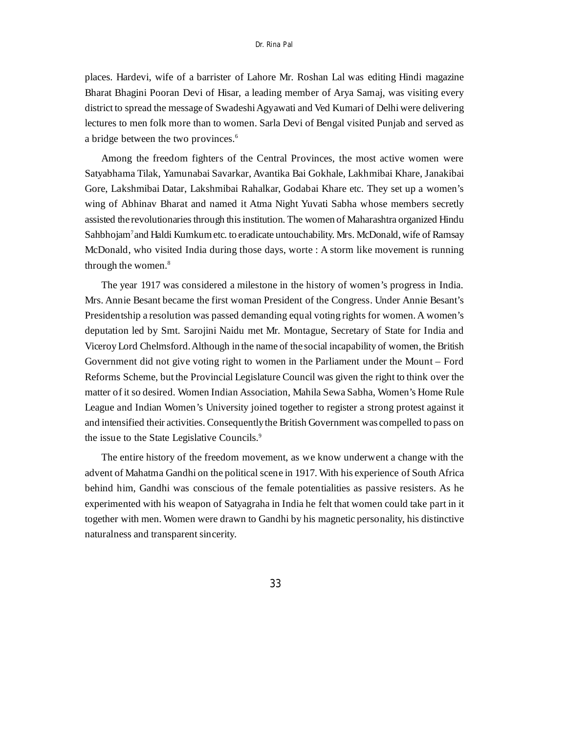places. Hardevi, wife of a barrister of Lahore Mr. Roshan Lal was editing Hindi magazine Bharat Bhagini Pooran Devi of Hisar, a leading member of Arya Samaj, was visiting every district to spread the message of Swadeshi Agyawati and Ved Kumari of Delhi were delivering lectures to men folk more than to women. Sarla Devi of Bengal visited Punjab and served as a bridge between the two provinces.<sup>6</sup>

Among the freedom fighters of the Central Provinces, the most active women were Satyabhama Tilak, Yamunabai Savarkar, Avantika Bai Gokhale, Lakhmibai Khare, Janakibai Gore, Lakshmibai Datar, Lakshmibai Rahalkar, Godabai Khare etc. They set up a women's wing of Abhinav Bharat and named it Atma Night Yuvati Sabha whose members secretly assisted the revolutionaries through this institution. The women of Maharashtra organized Hindu Sahbhojam<sup>7</sup>and Haldi Kumkum etc. to eradicate untouchability. Mrs. McDonald, wife of Ramsay McDonald, who visited India during those days, worte : A storm like movement is running through the women.<sup>8</sup>

The year 1917 was considered a milestone in the history of women's progress in India. Mrs. Annie Besant became the first woman President of the Congress. Under Annie Besant's Presidentship a resolution was passed demanding equal voting rights for women. A women's deputation led by Smt. Sarojini Naidu met Mr. Montague, Secretary of State for India and Viceroy Lord Chelmsford. Although in the name of the social incapability of women, the British Government did not give voting right to women in the Parliament under the Mount – Ford Reforms Scheme, but the Provincial Legislature Council was given the right to think over the matter of it so desired. Women Indian Association, Mahila Sewa Sabha, Women's Home Rule League and Indian Women's University joined together to register a strong protest against it and intensified their activities. Consequently the British Government was compelled to pass on the issue to the State Legislative Councils.<sup>9</sup>

The entire history of the freedom movement, as we know underwent a change with the advent of Mahatma Gandhi on the political scene in 1917. With his experience of South Africa behind him, Gandhi was conscious of the female potentialities as passive resisters. As he experimented with his weapon of Satyagraha in India he felt that women could take part in it together with men. Women were drawn to Gandhi by his magnetic personality, his distinctive naturalness and transparent sincerity.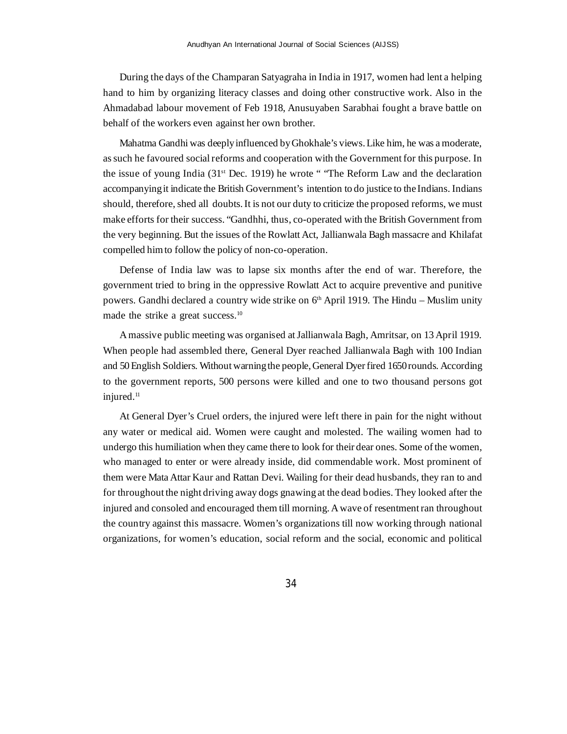During the days of the Champaran Satyagraha in India in 1917, women had lent a helping hand to him by organizing literacy classes and doing other constructive work. Also in the Ahmadabad labour movement of Feb 1918, Anusuyaben Sarabhai fought a brave battle on behalf of the workers even against her own brother.

Mahatma Gandhi was deeply influenced by Ghokhale's views. Like him, he was a moderate, as such he favoured social reforms and cooperation with the Government for this purpose. In the issue of young India  $(31<sup>st</sup> Dec. 1919)$  he wrote " The Reform Law and the declaration accompanying it indicate the British Government's intention to do justice to the Indians. Indians should, therefore, shed all doubts. It is not our duty to criticize the proposed reforms, we must make efforts for their success. "Gandhhi, thus, co-operated with the British Government from the very beginning. But the issues of the Rowlatt Act, Jallianwala Bagh massacre and Khilafat compelled him to follow the policy of non-co-operation.

Defense of India law was to lapse six months after the end of war. Therefore, the government tried to bring in the oppressive Rowlatt Act to acquire preventive and punitive powers. Gandhi declared a country wide strike on  $6<sup>th</sup>$  April 1919. The Hindu – Muslim unity made the strike a great success.<sup>10</sup>

A massive public meeting was organised at Jallianwala Bagh, Amritsar, on 13 April 1919. When people had assembled there, General Dyer reached Jallianwala Bagh with 100 Indian and 50 English Soldiers. Without warning the people, General Dyer fired 1650 rounds. According to the government reports, 500 persons were killed and one to two thousand persons got injured.<sup>11</sup>

At General Dyer's Cruel orders, the injured were left there in pain for the night without any water or medical aid. Women were caught and molested. The wailing women had to undergo this humiliation when they came there to look for their dear ones. Some of the women, who managed to enter or were already inside, did commendable work. Most prominent of them were Mata Attar Kaur and Rattan Devi. Wailing for their dead husbands, they ran to and for throughout the night driving away dogs gnawing at the dead bodies. They looked after the injured and consoled and encouraged them till morning. A wave of resentment ran throughout the country against this massacre. Women's organizations till now working through national organizations, for women's education, social reform and the social, economic and political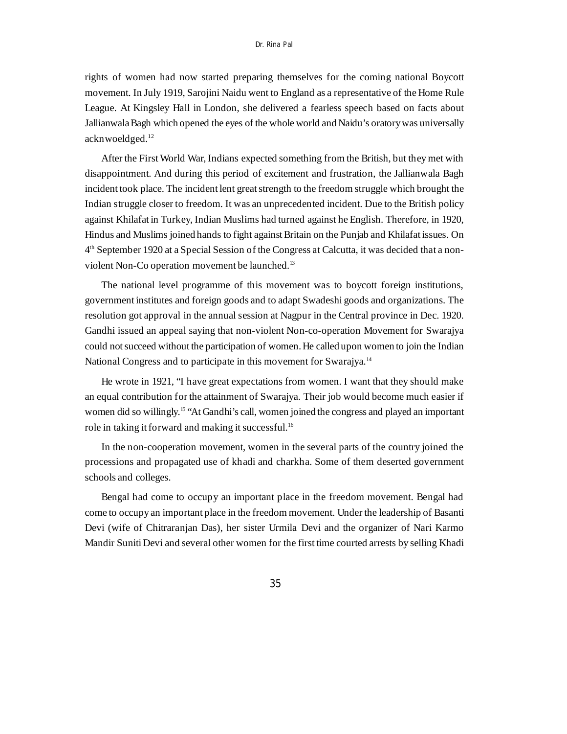rights of women had now started preparing themselves for the coming national Boycott movement. In July 1919, Sarojini Naidu went to England as a representative of the Home Rule League. At Kingsley Hall in London, she delivered a fearless speech based on facts about Jallianwala Bagh which opened the eyes of the whole world and Naidu's oratory was universally acknwoeldged.<sup>12</sup>

After the First World War, Indians expected something from the British, but they met with disappointment. And during this period of excitement and frustration, the Jallianwala Bagh incident took place. The incident lent great strength to the freedom struggle which brought the Indian struggle closer to freedom. It was an unprecedented incident. Due to the British policy against Khilafat in Turkey, Indian Muslims had turned against he English. Therefore, in 1920, Hindus and Muslims joined hands to fight against Britain on the Punjab and Khilafat issues. On 4 th September 1920 at a Special Session of the Congress at Calcutta, it was decided that a nonviolent Non-Co operation movement be launched.<sup>13</sup>

The national level programme of this movement was to boycott foreign institutions, government institutes and foreign goods and to adapt Swadeshi goods and organizations. The resolution got approval in the annual session at Nagpur in the Central province in Dec. 1920. Gandhi issued an appeal saying that non-violent Non-co-operation Movement for Swarajya could not succeed without the participation of women. He called upon women to join the Indian National Congress and to participate in this movement for Swarajya.<sup>14</sup>

He wrote in 1921, "I have great expectations from women. I want that they should make an equal contribution for the attainment of Swarajya. Their job would become much easier if women did so willingly.<sup>15</sup> "At Gandhi's call, women joined the congress and played an important role in taking it forward and making it successful.<sup>16</sup>

In the non-cooperation movement, women in the several parts of the country joined the processions and propagated use of khadi and charkha. Some of them deserted government schools and colleges.

Bengal had come to occupy an important place in the freedom movement. Bengal had come to occupy an important place in the freedom movement. Under the leadership of Basanti Devi (wife of Chitraranjan Das), her sister Urmila Devi and the organizer of Nari Karmo Mandir Suniti Devi and several other women for the first time courted arrests by selling Khadi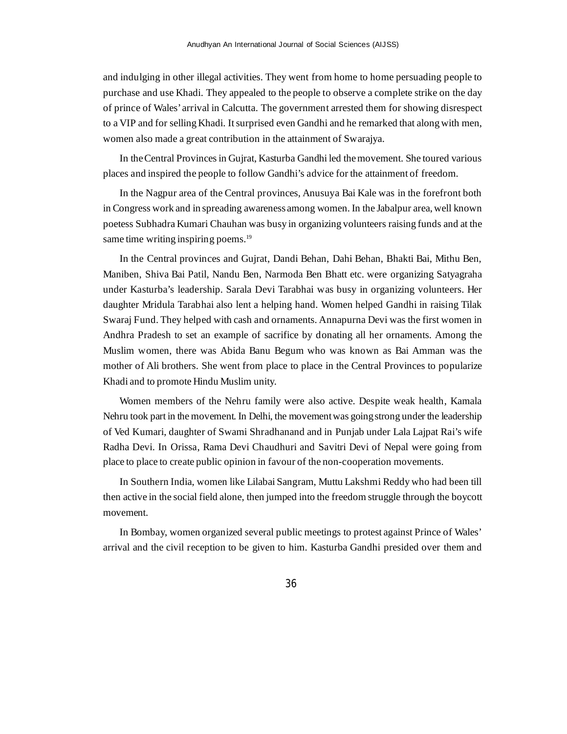and indulging in other illegal activities. They went from home to home persuading people to purchase and use Khadi. They appealed to the people to observe a complete strike on the day of prince of Wales' arrival in Calcutta. The government arrested them for showing disrespect to a VIP and for selling Khadi. It surprised even Gandhi and he remarked that along with men, women also made a great contribution in the attainment of Swarajya.

In the Central Provinces in Gujrat, Kasturba Gandhi led the movement. She toured various places and inspired the people to follow Gandhi's advice for the attainment of freedom.

In the Nagpur area of the Central provinces, Anusuya Bai Kale was in the forefront both in Congress work and in spreading awareness among women. In the Jabalpur area, well known poetess Subhadra Kumari Chauhan was busy in organizing volunteers raising funds and at the same time writing inspiring poems.<sup>19</sup>

In the Central provinces and Gujrat, Dandi Behan, Dahi Behan, Bhakti Bai, Mithu Ben, Maniben, Shiva Bai Patil, Nandu Ben, Narmoda Ben Bhatt etc. were organizing Satyagraha under Kasturba's leadership. Sarala Devi Tarabhai was busy in organizing volunteers. Her daughter Mridula Tarabhai also lent a helping hand. Women helped Gandhi in raising Tilak Swaraj Fund. They helped with cash and ornaments. Annapurna Devi was the first women in Andhra Pradesh to set an example of sacrifice by donating all her ornaments. Among the Muslim women, there was Abida Banu Begum who was known as Bai Amman was the mother of Ali brothers. She went from place to place in the Central Provinces to popularize Khadi and to promote Hindu Muslim unity.

Women members of the Nehru family were also active. Despite weak health, Kamala Nehru took part in the movement. In Delhi, the movement was going strong under the leadership of Ved Kumari, daughter of Swami Shradhanand and in Punjab under Lala Lajpat Rai's wife Radha Devi. In Orissa, Rama Devi Chaudhuri and Savitri Devi of Nepal were going from place to place to create public opinion in favour of the non-cooperation movements.

In Southern India, women like Lilabai Sangram, Muttu Lakshmi Reddy who had been till then active in the social field alone, then jumped into the freedom struggle through the boycott movement.

In Bombay, women organized several public meetings to protest against Prince of Wales' arrival and the civil reception to be given to him. Kasturba Gandhi presided over them and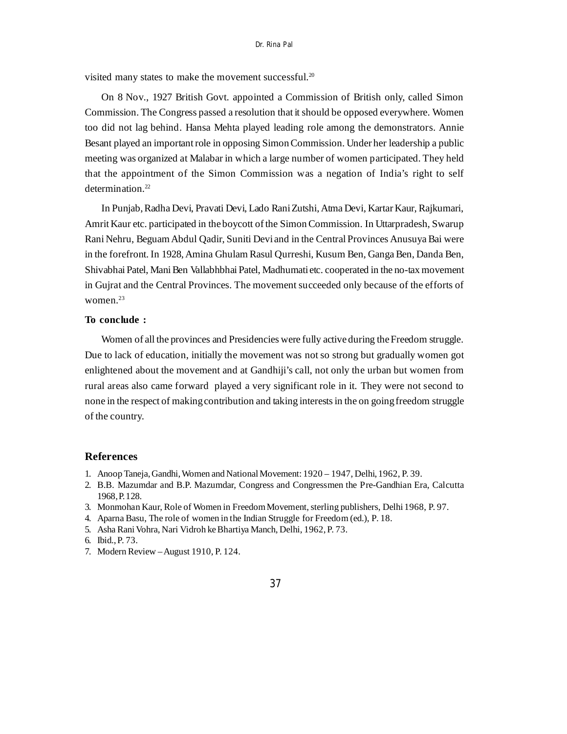visited many states to make the movement successful.<sup>20</sup>

On 8 Nov., 1927 British Govt. appointed a Commission of British only, called Simon Commission. The Congress passed a resolution that it should be opposed everywhere. Women too did not lag behind. Hansa Mehta played leading role among the demonstrators. Annie Besant played an important role in opposing Simon Commission. Under her leadership a public meeting was organized at Malabar in which a large number of women participated. They held that the appointment of the Simon Commission was a negation of India's right to self determination.<sup>22</sup>

In Punjab, Radha Devi, Pravati Devi, Lado Rani Zutshi, Atma Devi, Kartar Kaur, Rajkumari, Amrit Kaur etc. participated in the boycott of the Simon Commission. In Uttarpradesh, Swarup Rani Nehru, Beguam Abdul Qadir, Suniti Devi and in the Central Provinces Anusuya Bai were in the forefront. In 1928, Amina Ghulam Rasul Qurreshi, Kusum Ben, Ganga Ben, Danda Ben, Shivabhai Patel, Mani Ben Vallabhbhai Patel, Madhumati etc. cooperated in the no-tax movement in Gujrat and the Central Provinces. The movement succeeded only because of the efforts of women.<sup>23</sup>

## **To conclude :**

Women of all the provinces and Presidencies were fully active during the Freedom struggle. Due to lack of education, initially the movement was not so strong but gradually women got enlightened about the movement and at Gandhiji's call, not only the urban but women from rural areas also came forward played a very significant role in it. They were not second to none in the respect of making contribution and taking interests in the on going freedom struggle of the country.

## **References**

- 1. Anoop Taneja, Gandhi, Women and National Movement: 1920 1947, Delhi, 1962, P. 39.
- 2. B.B. Mazumdar and B.P. Mazumdar, Congress and Congressmen the Pre-Gandhian Era, Calcutta 1968, P. 128.
- 3. Monmohan Kaur, Role of Women in Freedom Movement, sterling publishers, Delhi 1968, P. 97.
- 4. Aparna Basu, The role of women in the Indian Struggle for Freedom (ed.), P. 18.
- 5. Asha Rani Vohra, Nari Vidroh ke Bhartiya Manch, Delhi, 1962, P. 73.
- 6. Ibid., P. 73.
- 7. Modern Review August 1910, P. 124.
- 37